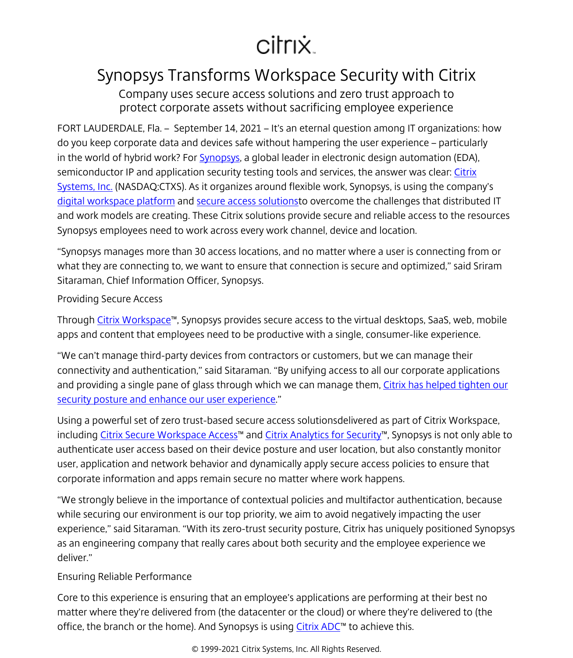## citrix.

## Synopsys Transforms Workspace Security with Citrix

Company uses secure access solutions and zero trust approach to protect corporate assets without sacrificing employee experience

FORT LAUDERDALE, Fla. – September 14, 2021 – It's an eternal question among IT organizations: how do you keep corporate data and devices safe without hampering the user experience – particularly in the world of hybrid work? For [Synopsys,](https://www.synopsys.com/) a global leader in electronic design automation (EDA), semiconductor IP and application security testing tools and services, the answer was clear: [Citrix](/content/citrix/it-it.html) [Systems, Inc.](/content/citrix/it-it.html) (NASDAQ:CTXS). As it organizes around flexible work, Synopsys, is using the company's [digital workspace platform](/content/citrix/it-it/solutions/digital-workspace.html) and [secure access solutions](/content/citrix/it-it/solutions/secure-access.html)to overcome the challenges that distributed IT and work models are creating. These Citrix solutions provide secure and reliable access to the resources Synopsys employees need to work across every work channel, device and location.

"Synopsys manages more than 30 access locations, and no matter where a user is connecting from or what they are connecting to, we want to ensure that connection is secure and optimized," said Sriram Sitaraman, Chief Information Officer, Synopsys.

## Providing Secure Access

Through [Citrix Workspace™](/content/citrix/it-it/products/citrix-workspace.html), Synopsys provides secure access to the virtual desktops, SaaS, web, mobile apps and content that employees need to be productive with a single, consumer-like experience.

"We can't manage third-party devices from contractors or customers, but we can manage their connectivity and authentication," said Sitaraman. "By unifying access to all our corporate applications and providing a single pane of glass through which we can manage them, [Citrix has helped tighten our](/content/citrix/it-it/customers/synopsys-en.html) [security posture and enhance our user experience.](/content/citrix/it-it/customers/synopsys-en.html)"

Using a powerful set of zero trust-based secure access solutionsdelivered as part of Citrix Workspace, including [Citrix Secure Workspace Access](/content/citrix/it-it/products/citrix-secure-private-access.html)™ and [Citrix Analytics for Security™](/content/citrix/it-it/products/citrix-analytics-security.html), Synopsys is not only able to authenticate user access based on their device posture and user location, but also constantly monitor user, application and network behavior and dynamically apply secure access policies to ensure that corporate information and apps remain secure no matter where work happens.

"We strongly believe in the importance of contextual policies and multifactor authentication, because while securing our environment is our top priority, we aim to avoid negatively impacting the user experience," said Sitaraman. "With its zero-trust security posture, Citrix has uniquely positioned Synopsys as an engineering company that really cares about both security and the employee experience we deliver."

## Ensuring Reliable Performance

Core to this experience is ensuring that an employee's applications are performing at their best no matter where they're delivered from (the datacenter or the cloud) or where they're delivered to (the office, the branch or the home). And Synopsys is using  $C$ itrix  $ADC^M$  to achieve this.

© 1999-2021 Citrix Systems, Inc. All Rights Reserved.